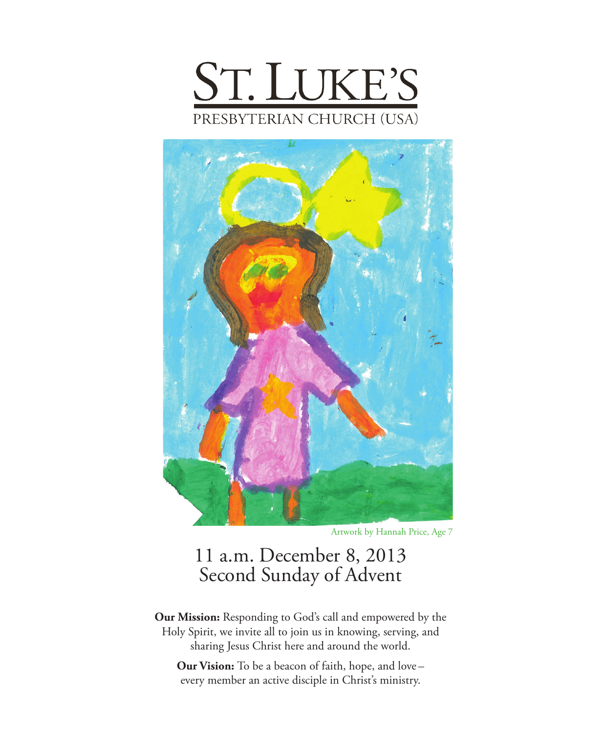



Artwork by Hannah Price, Age 7

## 11 a.m. December 8, 2013 Second Sunday of Advent

**Our Mission:** Responding to God's call and empowered by the Holy Spirit, we invite all to join us in knowing, serving, and sharing Jesus Christ here and around the world.

**Our Vision:** To be a beacon of faith, hope, and love – every member an active disciple in Christ's ministry.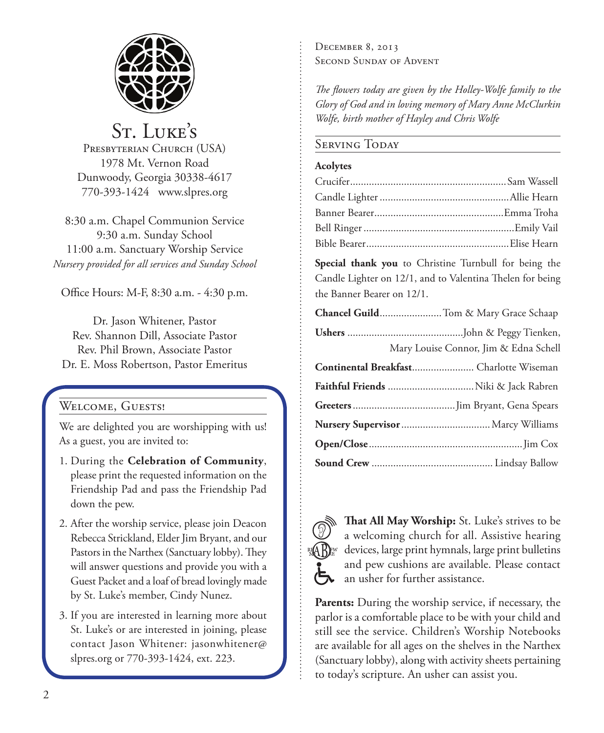

St. Luke's PRESBYTERIAN CHURCH (USA) 1978 Mt. Vernon Road Dunwoody, Georgia 30338-4617 770-393-1424 www.slpres.org

8:30 a.m. Chapel Communion Service 9:30 a.m. Sunday School 11:00 a.m. Sanctuary Worship Service *Nursery provided for all services and Sunday School*

Office Hours: M-F, 8:30 a.m. - 4:30 p.m.

Dr. Jason Whitener, Pastor Rev. Shannon Dill, Associate Pastor Rev. Phil Brown, Associate Pastor Dr. E. Moss Robertson, Pastor Emeritus

## Welcome, Guests!

We are delighted you are worshipping with us! As a guest, you are invited to:

- 1. During the **Celebration of Community**, please print the requested information on the Friendship Pad and pass the Friendship Pad down the pew.
- 2. After the worship service, please join Deacon Rebecca Strickland, Elder Jim Bryant, and our Pastors in the Narthex (Sanctuary lobby). They will answer questions and provide you with a Guest Packet and a loaf of bread lovingly made by St. Luke's member, Cindy Nunez.
- 3. If you are interested in learning more about St. Luke's or are interested in joining, please contact Jason Whitener: jasonwhitener@ slpres.org or 770-393-1424, ext. 223.

December 8, 2013 SECOND SUNDAY OF ADVENT

*The flowers today are given by the Holley-Wolfe family to the Glory of God and in loving memory of Mary Anne McClurkin Wolfe, birth mother of Hayley and Chris Wolfe*

#### Serving Today

#### **Acolytes**

**Special thank you** to Christine Turnbull for being the Candle Lighter on 12/1, and to Valentina Thelen for being the Banner Bearer on 12/1.

| Mary Louise Connor, Jim & Edna Schell   |
|-----------------------------------------|
| Continental Breakfast Charlotte Wiseman |
|                                         |
|                                         |
|                                         |
|                                         |
|                                         |



**That All May Worship:** St. Luke's strives to be a welcoming church for all. Assistive hearing devices, large print hymnals, large print bulletins and pew cushions are available. Please contact an usher for further assistance.

**Parents:** During the worship service, if necessary, the parlor is a comfortable place to be with your child and still see the service. Children's Worship Notebooks are available for all ages on the shelves in the Narthex (Sanctuary lobby), along with activity sheets pertaining to today's scripture. An usher can assist you.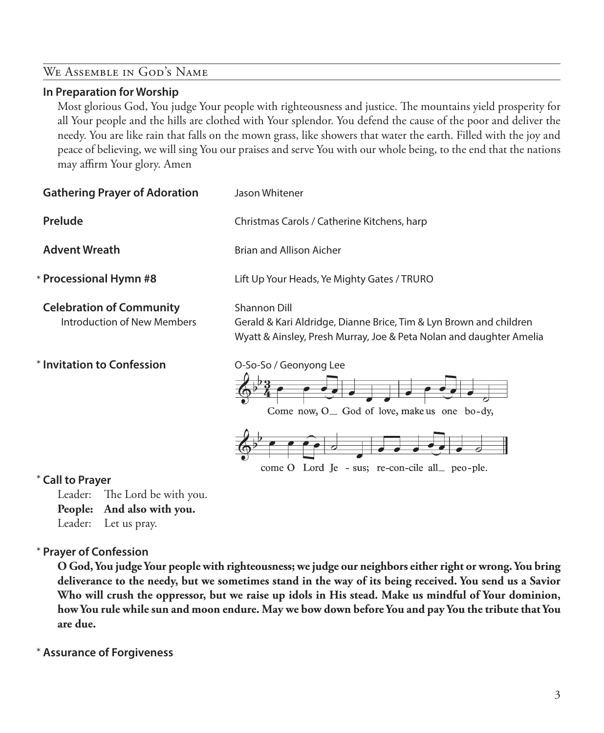#### We Assemble in God's Name

#### **In Preparation for Worship**

 Most glorious God, You judge Your people with righteousness and justice. The mountains yield prosperity for all Your people and the hills are clothed with Your splendor. You defend the cause of the poor and deliver the needy. You are like rain that falls on the mown grass, like showers that water the earth. Filled with the joy and peace of believing, we will sing You our praises and serve You with our whole being, to the end that the nations may affirm Your glory. Amen

| <b>Gathering Prayer of Adoration</b>                           | Jason Whitener                                                                                                                                            |
|----------------------------------------------------------------|-----------------------------------------------------------------------------------------------------------------------------------------------------------|
| <b>Prelude</b>                                                 | Christmas Carols / Catherine Kitchens, harp                                                                                                               |
| <b>Advent Wreath</b>                                           | Brian and Allison Aicher                                                                                                                                  |
| * Processional Hymn #8                                         | Lift Up Your Heads, Ye Mighty Gates / TRURO                                                                                                               |
| <b>Celebration of Community</b><br>Introduction of New Members | Shannon Dill<br>Gerald & Kari Aldridge, Dianne Brice, Tim & Lyn Brown and children<br>Wyatt & Ainsley, Presh Murray, Joe & Peta Nolan and daughter Amelia |
| <b>* Invitation to Confession</b>                              | O-So-So / Geonyong Lee<br>Come now, $O_{\text{ }}$ God of love, make us one bo-dy,                                                                        |
| * Call to Prayer                                               | come O Lord Je - sus; re-con-cile all_ peo-ple.                                                                                                           |

#### \*

Leader: The Lord be with you.

**People: And also with you.**

Leader: Let us pray.

#### **Prayer of Confession**  \*

 **O God, You judge Your people with righteousness; we judge our neighbors either right or wrong. You bring deliverance to the needy, but we sometimes stand in the way of its being received. You send us a Savior Who will crush the oppressor, but we raise up idols in His stead. Make us mindful of Your dominion, how You rule while sun and moon endure. May we bow down before You and pay You the tribute that You are due.**

**Assurance of Forgiveness** \*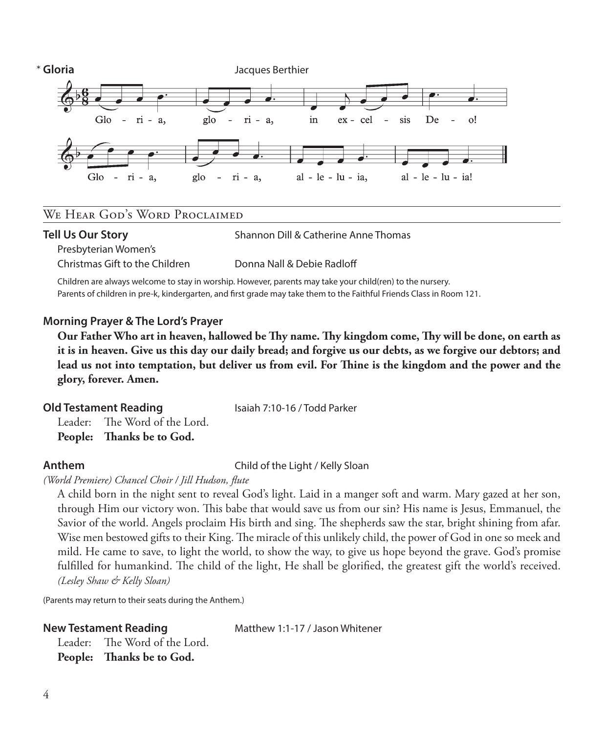

#### We Hear God's Word Proclaimed

#### **Tell Us Our Story** Shannon Dill & Catherine Anne Thomas

Presbyterian Women's

Christmas Gift to the Children Donna Nall & Debie Radloff

 Children are always welcome to stay in worship. However, parents may take your child(ren) to the nursery. Parents of children in pre-k, kindergarten, and first grade may take them to the Faithful Friends Class in Room 121.

#### **Morning Prayer & The Lord's Prayer**

 **Our Father Who art in heaven, hallowed be Thy name. Thy kingdom come, Thy will be done, on earth as it is in heaven. Give us this day our daily bread; and forgive us our debts, as we forgive our debtors; and lead us not into temptation, but deliver us from evil. For Thine is the kingdom and the power and the glory, forever. Amen.**

#### **Old Testament Reading** Isaiah 7:10-16 / Todd Parker

Leader: The Word of the Lord. **People: Thanks be to God.** 

**Anthem** Child of the Light / Kelly Sloan

*(World Premiere) Chancel Choir / Jill Hudson, flute*

 A child born in the night sent to reveal God's light. Laid in a manger soft and warm. Mary gazed at her son, through Him our victory won. This babe that would save us from our sin? His name is Jesus, Emmanuel, the Savior of the world. Angels proclaim His birth and sing. The shepherds saw the star, bright shining from afar. Wise men bestowed gifts to their King. The miracle of this unlikely child, the power of God in one so meek and mild. He came to save, to light the world, to show the way, to give us hope beyond the grave. God's promise fulfilled for humankind. The child of the light, He shall be glorified, the greatest gift the world's received. *(Lesley Shaw & Kelly Sloan)*

(Parents may return to their seats during the Anthem.)

**New Testament Reading Matthew 1:1-17 / Jason Whitener** 

Leader: The Word of the Lord. **People: Thanks be to God.**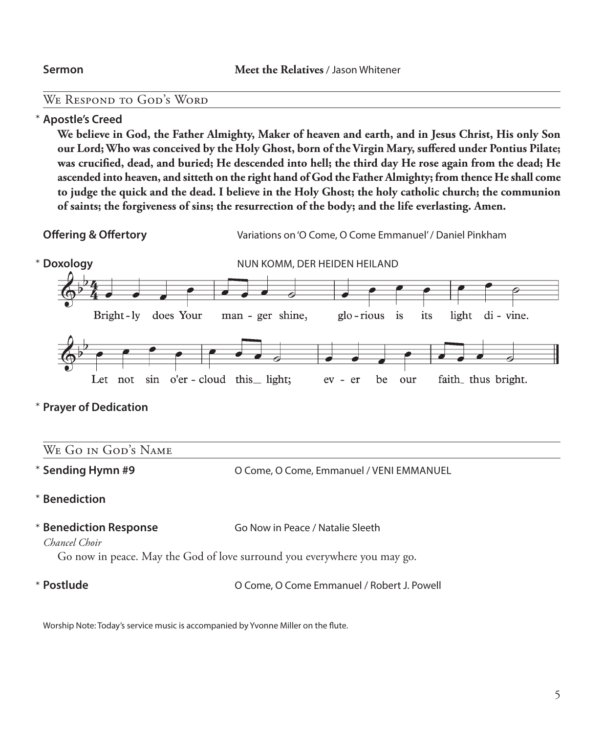#### We Respond to God's Word

#### **Apostle's Creed** \*

 **We believe in God, the Father Almighty, Maker of heaven and earth, and in Jesus Christ, His only Son our Lord; Who was conceived by the Holy Ghost, born of the Virgin Mary, suffered under Pontius Pilate; was crucified, dead, and buried; He descended into hell; the third day He rose again from the dead; He ascended into heaven, and sitteth on the right hand of God the Father Almighty; from thence He shall come to judge the quick and the dead. I believe in the Holy Ghost; the holy catholic church; the communion of saints; the forgiveness of sins; the resurrection of the body; and the life everlasting. Amen.**

**Offering & Offertory** Variations on 'O Come, O Come Emmanuel' / Daniel Pinkham



**Prayer of Dedication** \*

| WE GO IN GOD'S NAME                                                                                                                                     |                                          |
|---------------------------------------------------------------------------------------------------------------------------------------------------------|------------------------------------------|
| * Sending Hymn #9                                                                                                                                       | O Come, O Come, Emmanuel / VENI EMMANUEL |
| * Benediction                                                                                                                                           |                                          |
| * Benediction Response<br>Go Now in Peace / Natalie Sleeth<br>Chancel Choir<br>Go now in peace. May the God of love surround you everywhere you may go. |                                          |

\* Postlude

**O Come, O Come Emmanuel / Robert J. Powell** 

Worship Note: Today's service music is accompanied by Yvonne Miller on the flute.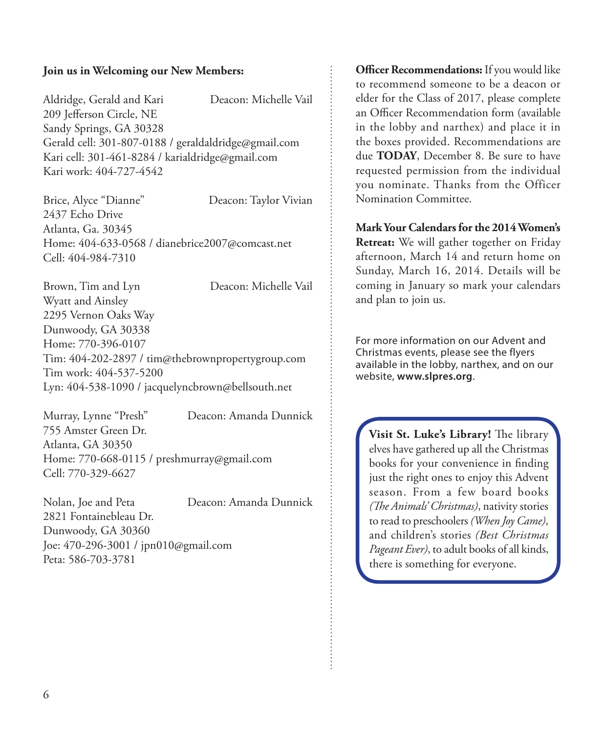#### **Join us in Welcoming our New Members:**

Aldridge, Gerald and Kari Deacon: Michelle Vail 209 Jefferson Circle, NE Sandy Springs, GA 30328 Gerald cell: 301-807-0188 / geraldaldridge@gmail.com Kari cell: 301-461-8284 / karialdridge@gmail.com Kari work: 404-727-4542

Brice, Alyce "Dianne" Deacon: Taylor Vivian 2437 Echo Drive Atlanta, Ga. 30345 Home: 404-633-0568 / dianebrice2007@comcast.net Cell: 404-984-7310

Brown, Tim and Lyn Deacon: Michelle Vail Wyatt and Ainsley 2295 Vernon Oaks Way Dunwoody, GA 30338 Home: 770-396-0107 Tim: 404-202-2897 / tim@thebrownpropertygroup.com Tim work: 404-537-5200 Lyn: 404-538-1090 / jacquelyncbrown@bellsouth.net

Murray, Lynne "Presh" Deacon: Amanda Dunnick 755 Amster Green Dr. Atlanta, GA 30350 Home: 770-668-0115 / preshmurray@gmail.com Cell: 770-329-6627

Nolan, Joe and Peta Deacon: Amanda Dunnick 2821 Fontainebleau Dr. Dunwoody, GA 30360 Joe: 470-296-3001 / jpn010@gmail.com Peta: 586-703-3781

**Officer Recommendations:** If you would like to recommend someone to be a deacon or elder for the Class of 2017, please complete an Officer Recommendation form (available in the lobby and narthex) and place it in the boxes provided. Recommendations are due **TODAY**, December 8. Be sure to have requested permission from the individual you nominate. Thanks from the Officer Nomination Committee.

**Mark Your Calendars for the 2014 Women's Retreat:** We will gather together on Friday afternoon, March 14 and return home on Sunday, March 16, 2014. Details will be coming in January so mark your calendars and plan to join us.

For more information on our Advent and Christmas events, please see the flyers available in the lobby, narthex, and on our website, **www.slpres.org**.

**Visit St. Luke's Library!** The library elves have gathered up all the Christmas books for your convenience in finding just the right ones to enjoy this Advent season. From a few board books *(The Animals' Christmas)*, nativity stories to read to preschoolers *(When Joy Came)*, and children's stories *(Best Christmas Pageant Ever)*, to adult books of all kinds, there is something for everyone.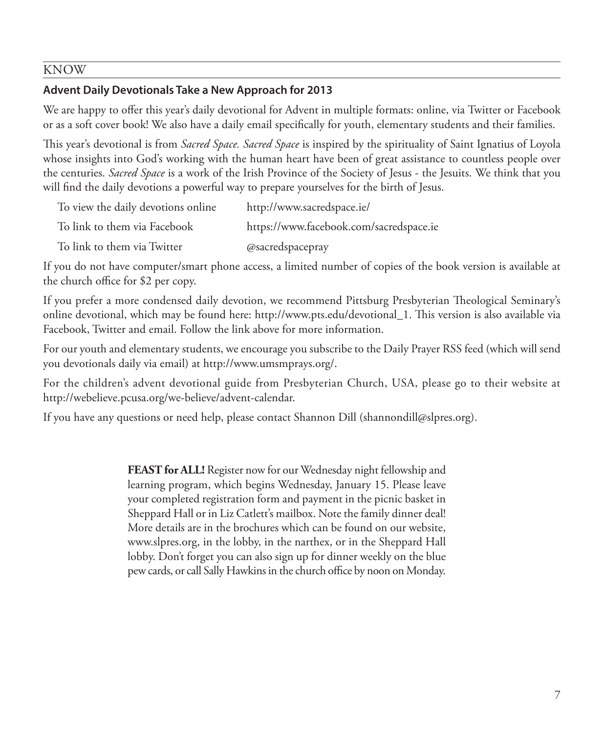#### KNOW

### **Advent Daily Devotionals Take a New Approach for 2013**

We are happy to offer this year's daily devotional for Advent in multiple formats: online, via Twitter or Facebook or as a soft cover book! We also have a daily email specifically for youth, elementary students and their families.

This year's devotional is from *Sacred Space. Sacred Space* is inspired by the spirituality of Saint Ignatius of Loyola whose insights into God's working with the human heart have been of great assistance to countless people over the centuries. *Sacred Space* is a work of the Irish Province of the Society of Jesus - the Jesuits. We think that you will find the daily devotions a powerful way to prepare yourselves for the birth of Jesus.

| To view the daily devotions online | http://www.sacredspace.ie/              |
|------------------------------------|-----------------------------------------|
| To link to them via Facebook       | https://www.facebook.com/sacredspace.ie |
| To link to them via Twitter        | @sacredspacepray                        |

If you do not have computer/smart phone access, a limited number of copies of the book version is available at the church office for \$2 per copy.

If you prefer a more condensed daily devotion, we recommend Pittsburg Presbyterian Theological Seminary's online devotional, which may be found here: http://www.pts.edu/devotional\_1. This version is also available via Facebook, Twitter and email. Follow the link above for more information.

For our youth and elementary students, we encourage you subscribe to the Daily Prayer RSS feed (which will send you devotionals daily via email) at http://www.umsmprays.org/.

For the children's advent devotional guide from Presbyterian Church, USA, please go to their website at http://webelieve.pcusa.org/we-believe/advent-calendar.

If you have any questions or need help, please contact Shannon Dill (shannondill@slpres.org).

**FEAST for ALL!** Register now for our Wednesday night fellowship and learning program, which begins Wednesday, January 15. Please leave your completed registration form and payment in the picnic basket in Sheppard Hall or in Liz Catlett's mailbox. Note the family dinner deal! More details are in the brochures which can be found on our website, www.slpres.org, in the lobby, in the narthex, or in the Sheppard Hall lobby. Don't forget you can also sign up for dinner weekly on the blue pew cards, or call Sally Hawkins in the church office by noon on Monday.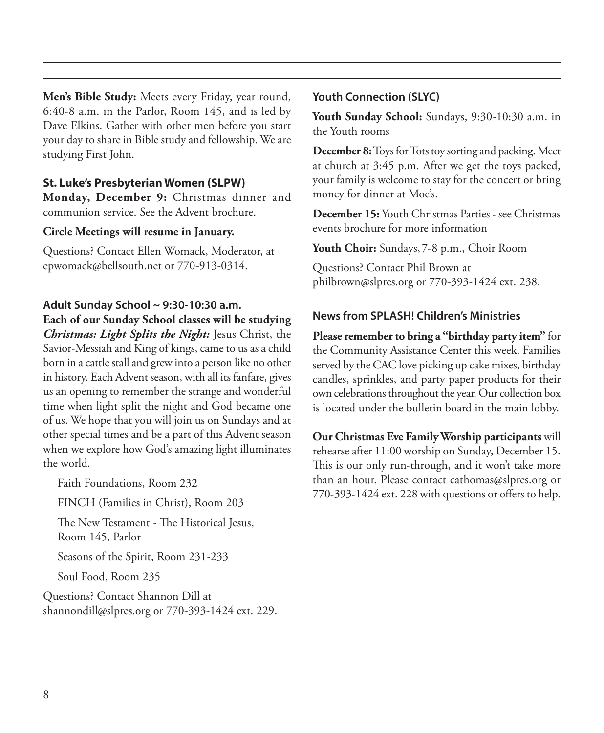**Men's Bible Study:** Meets every Friday, year round, 6:40-8 a.m. in the Parlor, Room 145, and is led by Dave Elkins. Gather with other men before you start your day to share in Bible study and fellowship. We are studying First John.

#### **St. Luke's Presbyterian Women (SLPW)**

**Monday, December 9:** Christmas dinner and communion service. See the Advent brochure.

#### **Circle Meetings will resume in January.**

Questions? Contact Ellen Womack, Moderator, at epwomack@bellsouth.net or 770-913-0314.

#### **Adult Sunday School ~ 9:30-10:30 a.m.**

**Each of our Sunday School classes will be studying**  *Christmas: Light Splits the Night:* Jesus Christ, the Savior-Messiah and King of kings, came to us as a child born in a cattle stall and grew into a person like no other

in history. Each Advent season, with all its fanfare, gives us an opening to remember the strange and wonderful time when light split the night and God became one of us. We hope that you will join us on Sundays and at other special times and be a part of this Advent season when we explore how God's amazing light illuminates the world.

Faith Foundations, Room 232

FINCH (Families in Christ), Room 203

 The New Testament - The Historical Jesus, Room 145, Parlor

Seasons of the Spirit, Room 231-233

Soul Food, Room 235

Questions? Contact Shannon Dill at shannondill@slpres.org or 770-393-1424 ext. 229.

#### **Youth Connection (SLYC)**

**Youth Sunday School:** Sundays, 9:30-10:30 a.m. in the Youth rooms

**December 8:** Toys for Tots toy sorting and packing. Meet at church at 3:45 p.m. After we get the toys packed, your family is welcome to stay for the concert or bring money for dinner at Moe's.

**December 15:** Youth Christmas Parties - see Christmas events brochure for more information

**Youth Choir:** Sundays, 7-8 p.m., Choir Room

Questions? Contact Phil Brown at philbrown@slpres.org or 770-393-1424 ext. 238.

#### **News from SPLASH! Children's Ministries**

**Please remember to bring a "birthday party item"** for the Community Assistance Center this week. Families served by the CAC love picking up cake mixes, birthday candles, sprinkles, and party paper products for their own celebrations throughout the year. Our collection box is located under the bulletin board in the main lobby.

**Our Christmas Eve Family Worship participants** will rehearse after 11:00 worship on Sunday, December 15. This is our only run-through, and it won't take more than an hour. Please contact cathomas@slpres.org or 770-393-1424 ext. 228 with questions or offers to help.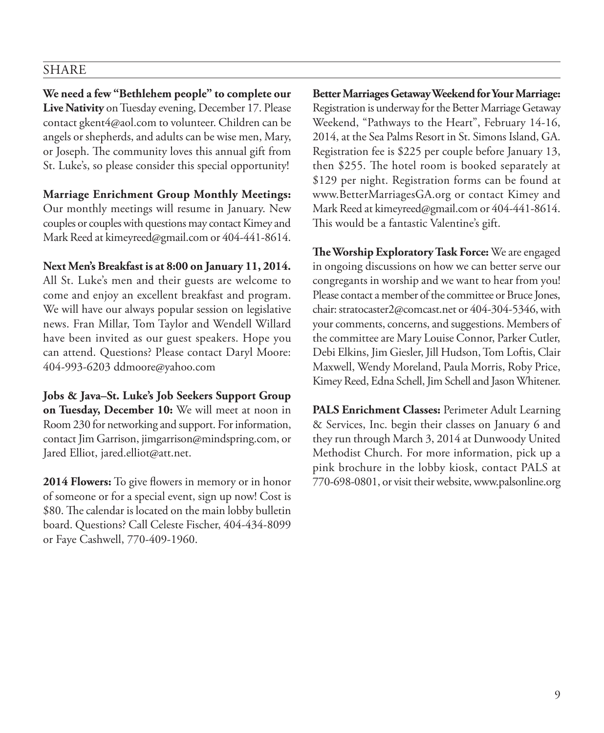#### SHARE

**We need a few "Bethlehem people" to complete our Live Nativity** on Tuesday evening, December 17. Please contact gkent4@aol.com to volunteer. Children can be angels or shepherds, and adults can be wise men, Mary, or Joseph. The community loves this annual gift from St. Luke's, so please consider this special opportunity!

**Marriage Enrichment Group Monthly Meetings:** Our monthly meetings will resume in January. New couples or couples with questions may contact Kimey and Mark Reed at kimeyreed@gmail.com or 404-441-8614.

**Next Men's Breakfast is at 8:00 on January 11, 2014.**  All St. Luke's men and their guests are welcome to come and enjoy an excellent breakfast and program. We will have our always popular session on legislative news. Fran Millar, Tom Taylor and Wendell Willard have been invited as our guest speakers. Hope you can attend. Questions? Please contact Daryl Moore: 404-993-6203 ddmoore@yahoo.com

**Jobs & Java–St. Luke's Job Seekers Support Group on Tuesday, December 10:** We will meet at noon in Room 230 for networking and support. For information, contact Jim Garrison, jimgarrison@mindspring.com, or Jared Elliot, jared.elliot@att.net.

**2014 Flowers:** To give flowers in memory or in honor of someone or for a special event, sign up now! Cost is \$80. The calendar is located on the main lobby bulletin board. Questions? Call Celeste Fischer, 404-434-8099 or Faye Cashwell, 770-409-1960.

**Better Marriages Getaway Weekend for Your Marriage:**  Registration is underway for the Better Marriage Getaway Weekend, "Pathways to the Heart", February 14-16, 2014, at the Sea Palms Resort in St. Simons Island, GA. Registration fee is \$225 per couple before January 13, then \$255. The hotel room is booked separately at \$129 per night. Registration forms can be found at www.BetterMarriagesGA.org or contact Kimey and Mark Reed at kimeyreed@gmail.com or 404-441-8614. This would be a fantastic Valentine's gift.

**The Worship Exploratory Task Force:** We are engaged in ongoing discussions on how we can better serve our congregants in worship and we want to hear from you! Please contact a member of the committee or Bruce Jones, chair: stratocaster2@comcast.net or 404-304-5346, with your comments, concerns, and suggestions. Members of the committee are Mary Louise Connor, Parker Cutler, Debi Elkins, Jim Giesler, Jill Hudson, Tom Loftis, Clair Maxwell, Wendy Moreland, Paula Morris, Roby Price, Kimey Reed, Edna Schell, Jim Schell and Jason Whitener.

**PALS Enrichment Classes:** Perimeter Adult Learning & Services, Inc. begin their classes on January 6 and they run through March 3, 2014 at Dunwoody United Methodist Church. For more information, pick up a pink brochure in the lobby kiosk, contact PALS at 770-698-0801, or visit their website, www.palsonline.org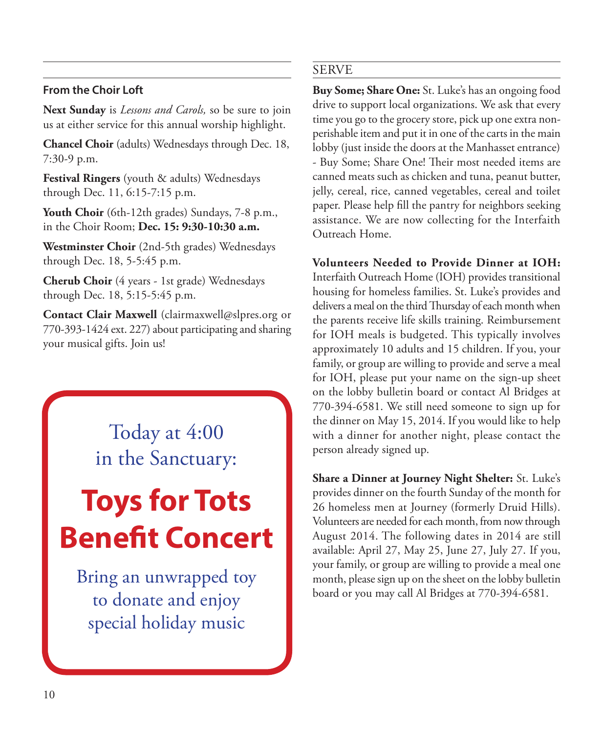#### **From the Choir Loft**

**Next Sunday** is *Lessons and Carols,* so be sure to join us at either service for this annual worship highlight.

**Chancel Choir** (adults) Wednesdays through Dec. 18, 7:30-9 p.m.

**Festival Ringers** (youth & adults) Wednesdays through Dec. 11, 6:15-7:15 p.m.

**Youth Choir** (6th-12th grades) Sundays, 7-8 p.m., in the Choir Room; **Dec. 15: 9:30-10:30 a.m.**

**Westminster Choir** (2nd-5th grades) Wednesdays through Dec. 18, 5-5:45 p.m.

**Cherub Choir** (4 years - 1st grade) Wednesdays through Dec. 18, 5:15-5:45 p.m.

**Contact Clair Maxwell** (clairmaxwell@slpres.org or 770-393-1424 ext. 227) about participating and sharing your musical gifts. Join us!

> Today at 4:00 in the Sanctuary:

# **Toys for Tots Benefit Concert**

Bring an unwrapped toy to donate and enjoy special holiday music

#### SERVE

**Buy Some; Share One:** St. Luke's has an ongoing food drive to support local organizations. We ask that every time you go to the grocery store, pick up one extra nonperishable item and put it in one of the carts in the main lobby (just inside the doors at the Manhasset entrance) - Buy Some; Share One! Their most needed items are canned meats such as chicken and tuna, peanut butter, jelly, cereal, rice, canned vegetables, cereal and toilet paper. Please help fill the pantry for neighbors seeking assistance. We are now collecting for the Interfaith Outreach Home.

**Volunteers Needed to Provide Dinner at IOH:**  Interfaith Outreach Home (IOH) provides transitional housing for homeless families. St. Luke's provides and delivers a meal on the third Thursday of each month when the parents receive life skills training. Reimbursement for IOH meals is budgeted. This typically involves approximately 10 adults and 15 children. If you, your family, or group are willing to provide and serve a meal for IOH, please put your name on the sign-up sheet on the lobby bulletin board or contact Al Bridges at 770-394-6581. We still need someone to sign up for the dinner on May 15, 2014. If you would like to help with a dinner for another night, please contact the person already signed up.

**Share a Dinner at Journey Night Shelter:** St. Luke's provides dinner on the fourth Sunday of the month for 26 homeless men at Journey (formerly Druid Hills). Volunteers are needed for each month, from now through August 2014. The following dates in 2014 are still available: April 27, May 25, June 27, July 27. If you, your family, or group are willing to provide a meal one month, please sign up on the sheet on the lobby bulletin board or you may call Al Bridges at 770-394-6581.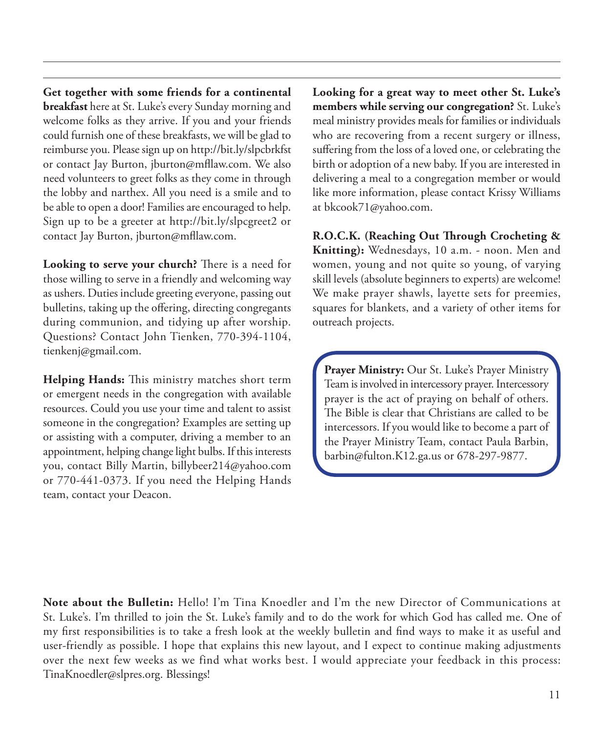**Get together with some friends for a continental breakfast** here at St. Luke's every Sunday morning and welcome folks as they arrive. If you and your friends could furnish one of these breakfasts, we will be glad to reimburse you. Please sign up on http://bit.ly/slpcbrkfst or contact Jay Burton, jburton@mfllaw.com. We also need volunteers to greet folks as they come in through the lobby and narthex. All you need is a smile and to be able to open a door! Families are encouraged to help. Sign up to be a greeter at http://bit.ly/slpcgreet2 or contact Jay Burton, jburton@mfllaw.com.

**Looking to serve your church?** There is a need for those willing to serve in a friendly and welcoming way as ushers. Duties include greeting everyone, passing out bulletins, taking up the offering, directing congregants during communion, and tidying up after worship. Questions? Contact John Tienken, 770-394-1104, tienkenj@gmail.com.

**Helping Hands:** This ministry matches short term or emergent needs in the congregation with available resources. Could you use your time and talent to assist someone in the congregation? Examples are setting up or assisting with a computer, driving a member to an appointment, helping change light bulbs. If this interests you, contact Billy Martin, billybeer214@yahoo.com or 770-441-0373. If you need the Helping Hands team, contact your Deacon.

**Looking for a great way to meet other St. Luke's members while serving our congregation?** St. Luke's meal ministry provides meals for families or individuals who are recovering from a recent surgery or illness, suffering from the loss of a loved one, or celebrating the birth or adoption of a new baby. If you are interested in delivering a meal to a congregation member or would like more information, please contact Krissy Williams at bkcook71@yahoo.com.

**R.O.C.K. (Reaching Out Through Crocheting & Knitting):** Wednesdays, 10 a.m. - noon. Men and women, young and not quite so young, of varying skill levels (absolute beginners to experts) are welcome! We make prayer shawls, layette sets for preemies, squares for blankets, and a variety of other items for outreach projects.

**Prayer Ministry:** Our St. Luke's Prayer Ministry Team is involved in intercessory prayer. Intercessory prayer is the act of praying on behalf of others. The Bible is clear that Christians are called to be intercessors. If you would like to become a part of the Prayer Ministry Team, contact Paula Barbin, barbin@fulton.K12.ga.us or 678-297-9877.

**Note about the Bulletin:** Hello! I'm Tina Knoedler and I'm the new Director of Communications at St. Luke's. I'm thrilled to join the St. Luke's family and to do the work for which God has called me. One of my first responsibilities is to take a fresh look at the weekly bulletin and find ways to make it as useful and user-friendly as possible. I hope that explains this new layout, and I expect to continue making adjustments over the next few weeks as we find what works best. I would appreciate your feedback in this process: TinaKnoedler@slpres.org. Blessings!